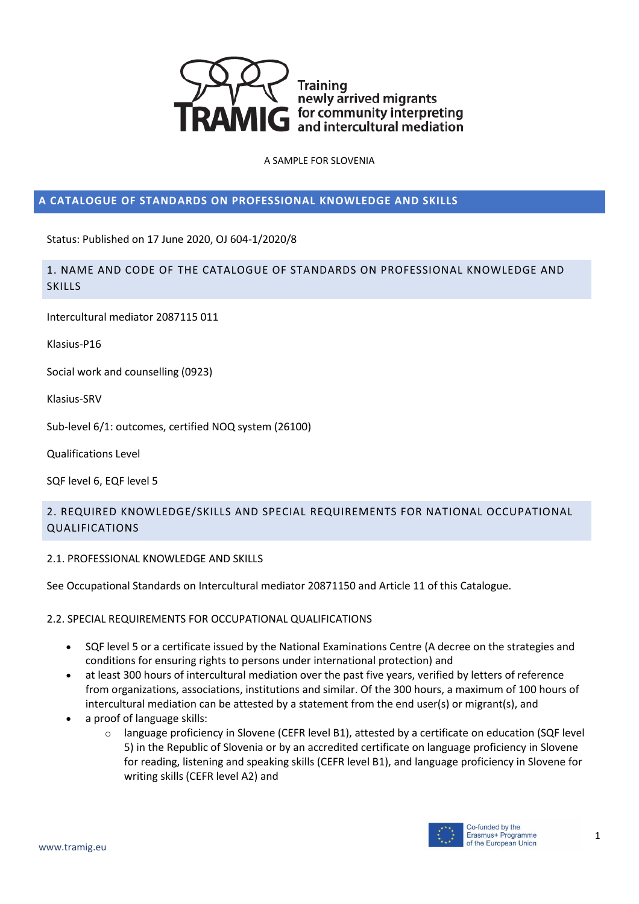

# **A CATALOGUE OF STANDARDS ON PROFESSIONAL KNOWLEDGE AND SKILLS**

Status: Published on 17 June 2020, OJ 604-1/2020/8

1. NAME AND CODE OF THE CATALOGUE OF STANDARDS ON PROFESSIONAL KNOWLEDGE AND SKILLS

Intercultural mediator 2087115 011

Klasius-P16

Social work and counselling (0923)

Klasius-SRV

Sub-level 6/1: outcomes, certified NOQ system (26100)

Qualifications Level

SQF level 6, EQF level 5

# 2. REQUIRED KNOWLEDGE/SKILLS AND SPECIAL REQUIREMENTS FOR NATIONAL OCCUPATIONAL QUALIFICATIONS

2.1. PROFESSIONAL KNOWLEDGE AND SKILLS

See Occupational Standards on Intercultural mediator 20871150 and Article 11 of this Catalogue.

### 2.2. SPECIAL REQUIREMENTS FOR OCCUPATIONAL QUALIFICATIONS

- SQF level 5 or a certificate issued by the National Examinations Centre (A decree on the strategies and conditions for ensuring rights to persons under international protection) and
- at least 300 hours of intercultural mediation over the past five years, verified by letters of reference from organizations, associations, institutions and similar. Of the 300 hours, a maximum of 100 hours of intercultural mediation can be attested by a statement from the end user(s) or migrant(s), and
- a proof of language skills:
	- o language proficiency in Slovene (CEFR level B1), attested by a certificate on education (SQF level 5) in the Republic of Slovenia or by an accredited certificate on language proficiency in Slovene for reading, listening and speaking skills (CEFR level B1), and language proficiency in Slovene for writing skills (CEFR level A2) and

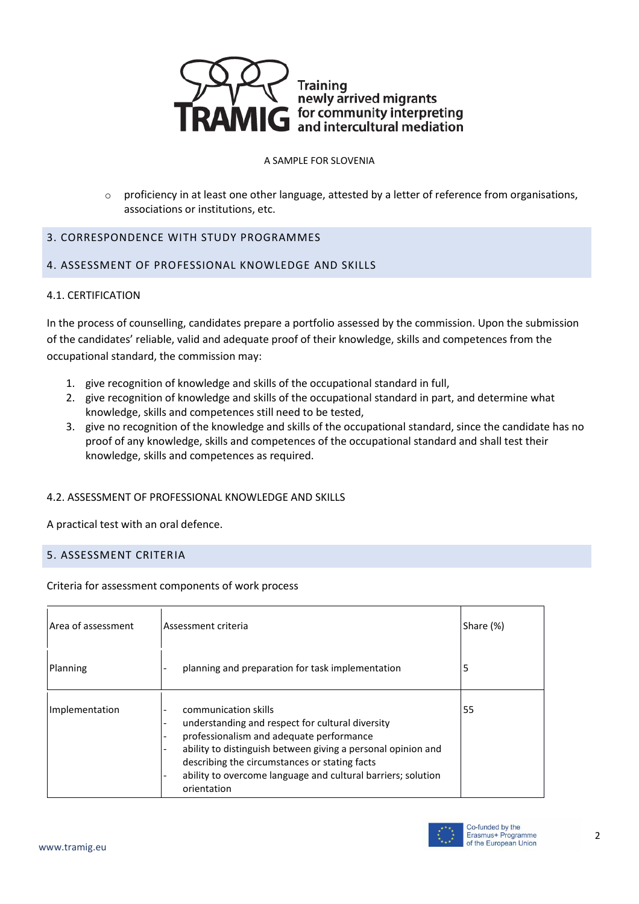

 $\circ$  proficiency in at least one other language, attested by a letter of reference from organisations, associations or institutions, etc.

# 3. CORRESPONDENCE WITH STUDY PROGRAMMES

## 4. ASSESSMENT OF PROFESSIONAL KNOWLEDGE AND SKILLS

### 4.1. CERTIFICATION

In the process of counselling, candidates prepare a portfolio assessed by the commission. Upon the submission of the candidates' reliable, valid and adequate proof of their knowledge, skills and competences from the occupational standard, the commission may:

- 1. give recognition of knowledge and skills of the occupational standard in full,
- 2. give recognition of knowledge and skills of the occupational standard in part, and determine what knowledge, skills and competences still need to be tested,
- 3. give no recognition of the knowledge and skills of the occupational standard, since the candidate has no proof of any knowledge, skills and competences of the occupational standard and shall test their knowledge, skills and competences as required.

### 4.2. ASSESSMENT OF PROFESSIONAL KNOWLEDGE AND SKILLS

A practical test with an oral defence.

### 5. ASSESSMENT CRITERIA

Criteria for assessment components of work process

| Area of assessment | Assessment criteria                                                                                                                                                                                                                                                                                                  | Share (%) |
|--------------------|----------------------------------------------------------------------------------------------------------------------------------------------------------------------------------------------------------------------------------------------------------------------------------------------------------------------|-----------|
| Planning           | planning and preparation for task implementation                                                                                                                                                                                                                                                                     | 5         |
| Implementation     | communication skills<br>understanding and respect for cultural diversity<br>professionalism and adequate performance<br>ability to distinguish between giving a personal opinion and<br>describing the circumstances or stating facts<br>ability to overcome language and cultural barriers; solution<br>orientation | 55        |

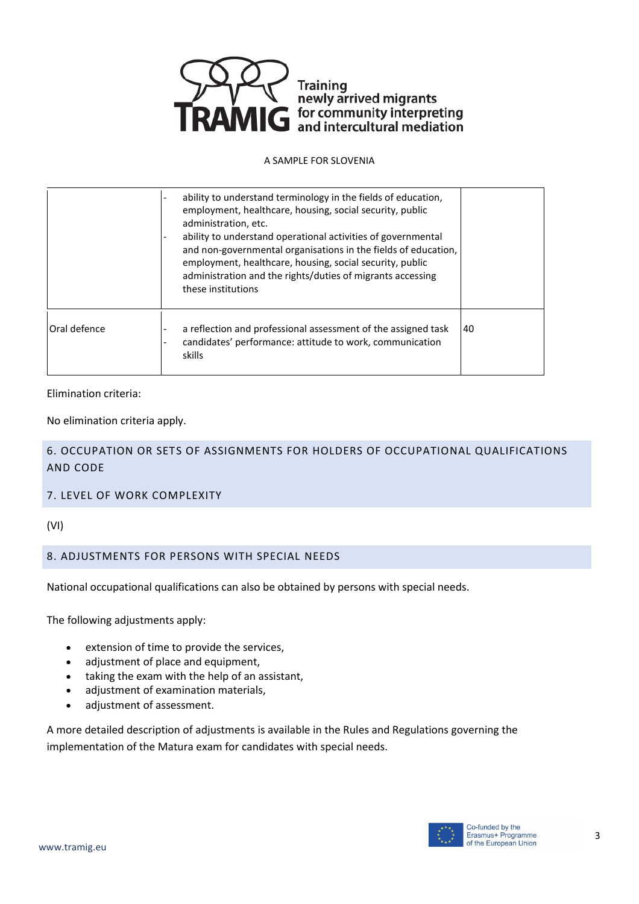

|               | ability to understand terminology in the fields of education,<br>employment, healthcare, housing, social security, public<br>administration, etc.<br>ability to understand operational activities of governmental<br>and non-governmental organisations in the fields of education,<br>employment, healthcare, housing, social security, public<br>administration and the rights/duties of migrants accessing<br>these institutions |    |
|---------------|-------------------------------------------------------------------------------------------------------------------------------------------------------------------------------------------------------------------------------------------------------------------------------------------------------------------------------------------------------------------------------------------------------------------------------------|----|
| lOral defence | a reflection and professional assessment of the assigned task<br>candidates' performance: attitude to work, communication<br>skills                                                                                                                                                                                                                                                                                                 | 40 |

Elimination criteria:

No elimination criteria apply.

6. OCCUPATION OR SETS OF ASSIGNMENTS FOR HOLDERS OF OCCUPATIONAL QUALIFICATIONS AND CODE

### 7. LEVEL OF WORK COMPLEXITY

(VI)

# 8. ADJUSTMENTS FOR PERSONS WITH SPECIAL NEEDS

National occupational qualifications can also be obtained by persons with special needs.

The following adjustments apply:

- extension of time to provide the services,
- adjustment of place and equipment,
- taking the exam with the help of an assistant,
- adjustment of examination materials,
- adjustment of assessment.

A more detailed description of adjustments is available in the Rules and Regulations governing the implementation of the Matura exam for candidates with special needs.

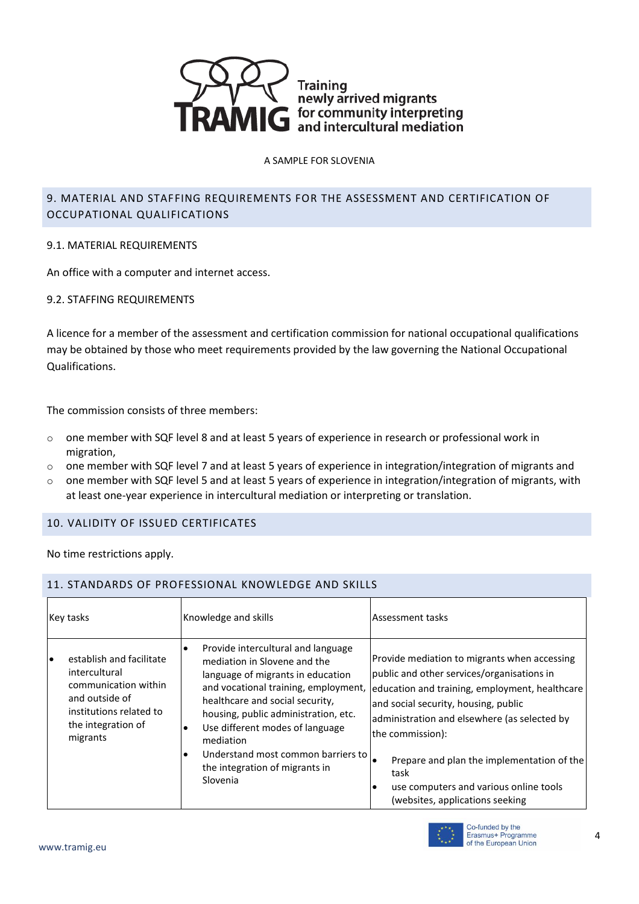

# 9. MATERIAL AND STAFFING REQUIREMENTS FOR THE ASSESSMENT AND CERTIFICATION OF OCCUPATIONAL QUALIFICATIONS

## 9.1. MATERIAL REQUIREMENTS

An office with a computer and internet access.

## 9.2. STAFFING REQUIREMENTS

A licence for a member of the assessment and certification commission for national occupational qualifications may be obtained by those who meet requirements provided by the law governing the National Occupational Qualifications.

The commission consists of three members:

- $\circ$  one member with SQF level 8 and at least 5 years of experience in research or professional work in migration,
- $\circ$  one member with SQF level 7 and at least 5 years of experience in integration/integration of migrants and
- $\circ$  one member with SQF level 5 and at least 5 years of experience in integration/integration of migrants, with at least one-year experience in intercultural mediation or interpreting or translation.

# 10. VALIDITY OF ISSUED CERTIFICATES

11. STANDARDS OF PROFESSIONAL KNOWLEDGE AND SKILLS

No time restrictions apply.

| Key tasks                                                                                                                                              | Knowledge and skills                                                                                                                                                                                                                                                                                                                                                                                  | Assessment tasks                                                                                                                                                                                                                                                                                                                                                                                         |
|--------------------------------------------------------------------------------------------------------------------------------------------------------|-------------------------------------------------------------------------------------------------------------------------------------------------------------------------------------------------------------------------------------------------------------------------------------------------------------------------------------------------------------------------------------------------------|----------------------------------------------------------------------------------------------------------------------------------------------------------------------------------------------------------------------------------------------------------------------------------------------------------------------------------------------------------------------------------------------------------|
| establish and facilitate<br>I۰<br>intercultural<br>communication within<br>and outside of<br>institutions related to<br>the integration of<br>migrants | Provide intercultural and language<br>$\bullet$<br>mediation in Slovene and the<br>language of migrants in education<br>and vocational training, employment,<br>healthcare and social security,<br>housing, public administration, etc.<br>Use different modes of language<br>$\bullet$<br>mediation<br>Understand most common barriers to<br>$\bullet$<br>the integration of migrants in<br>Slovenia | Provide mediation to migrants when accessing<br>public and other services/organisations in<br>education and training, employment, healthcare<br>and social security, housing, public<br>administration and elsewhere (as selected by<br>the commission):<br>Prepare and plan the implementation of the<br>task<br>use computers and various online tools<br>$\bullet$<br>(websites, applications seeking |

#### Co-funded by the<br>Erasmus+ Programme of the European Union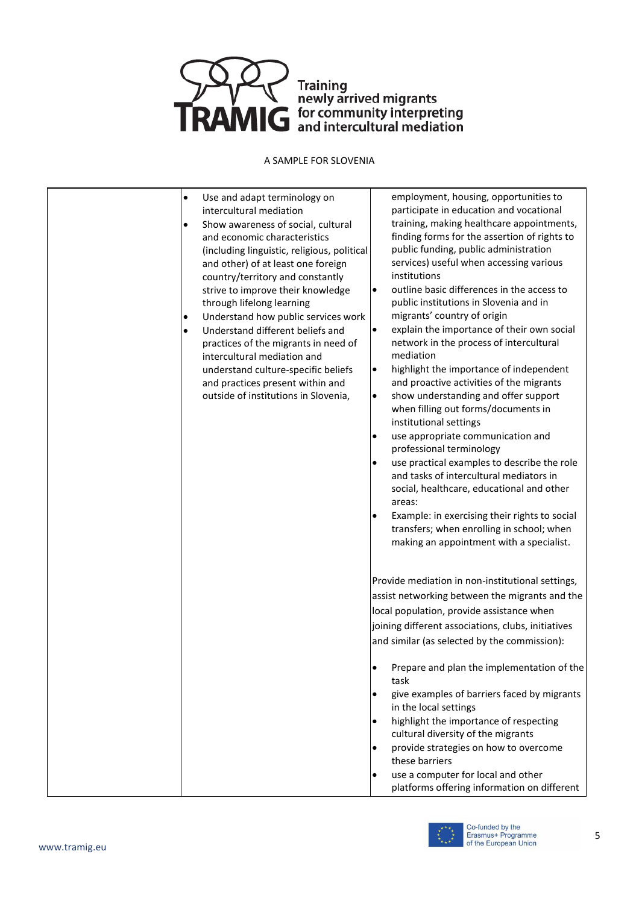

- Use and adapt terminology on intercultural mediation
- Show awareness of social, cultural and economic characteristics (including linguistic, religious, political and other) of at least one foreign country/territory and constantly strive to improve their knowledge through lifelong learning
- Understand how public services work
- Understand different beliefs and practices of the migrants in need of intercultural mediation and understand culture-specific beliefs and practices present within and outside of institutions in Slovenia,

employment, housing, opportunities to participate in education and vocational training, making healthcare appointments, finding forms for the assertion of rights to public funding, public administration services) useful when accessing various institutions

- outline basic differences in the access to public institutions in Slovenia and in migrants' country of origin
- explain the importance of their own social network in the process of intercultural mediation
- highlight the importance of independent and proactive activities of the migrants
- show understanding and offer support when filling out forms/documents in institutional settings
- use appropriate communication and professional terminology
- use practical examples to describe the role and tasks of intercultural mediators in social, healthcare, educational and other areas:
- Example: in exercising their rights to social transfers; when enrolling in school; when making an appointment with a specialist.

Provide mediation in non-institutional settings, assist networking between the migrants and the local population, provide assistance when joining different associations, clubs, initiatives and similar (as selected by the commission):

- Prepare and plan the implementation of the task
- give examples of barriers faced by migrants in the local settings
- highlight the importance of respecting cultural diversity of the migrants
- provide strategies on how to overcome these barriers
- use a computer for local and other platforms offering information on different

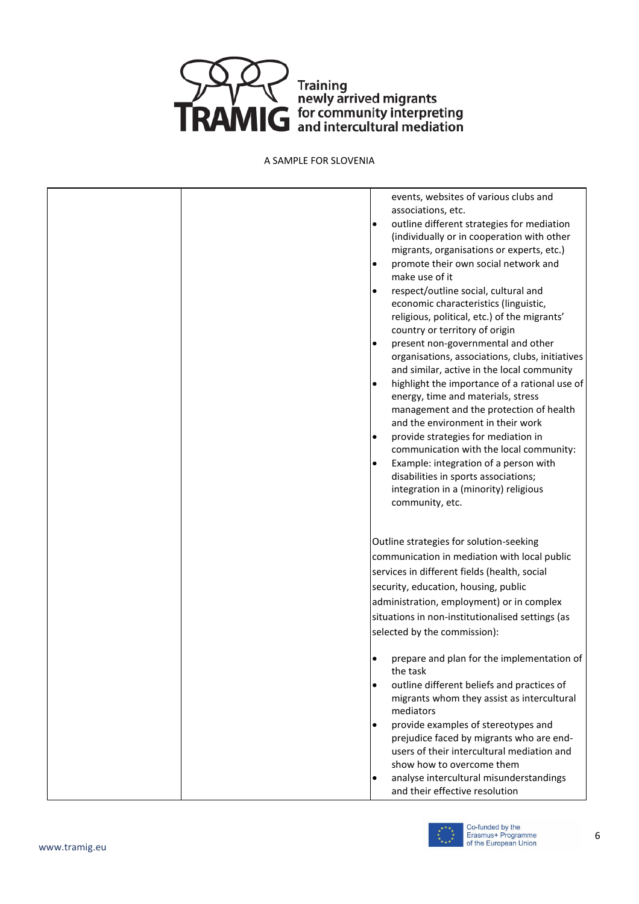

| events, websites of various clubs and<br>associations, etc.<br>outline different strategies for mediation<br>$\bullet$<br>(individually or in cooperation with other<br>migrants, organisations or experts, etc.)<br>promote their own social network and<br>$\bullet$<br>make use of it<br>respect/outline social, cultural and<br>$\bullet$<br>economic characteristics (linguistic,<br>religious, political, etc.) of the migrants'<br>country or territory of origin<br>present non-governmental and other<br>$\bullet$<br>organisations, associations, clubs, initiatives<br>and similar, active in the local community<br>highlight the importance of a rational use of<br>٠<br>energy, time and materials, stress<br>management and the protection of health<br>and the environment in their work<br>provide strategies for mediation in<br>$\bullet$<br>communication with the local community:<br>Example: integration of a person with<br>$\bullet$<br>disabilities in sports associations;<br>integration in a (minority) religious<br>community, etc. |
|-------------------------------------------------------------------------------------------------------------------------------------------------------------------------------------------------------------------------------------------------------------------------------------------------------------------------------------------------------------------------------------------------------------------------------------------------------------------------------------------------------------------------------------------------------------------------------------------------------------------------------------------------------------------------------------------------------------------------------------------------------------------------------------------------------------------------------------------------------------------------------------------------------------------------------------------------------------------------------------------------------------------------------------------------------------------|
| Outline strategies for solution-seeking<br>communication in mediation with local public<br>services in different fields (health, social<br>security, education, housing, public<br>administration, employment) or in complex<br>situations in non-institutionalised settings (as<br>selected by the commission):                                                                                                                                                                                                                                                                                                                                                                                                                                                                                                                                                                                                                                                                                                                                                  |
| prepare and plan for the implementation of<br>$\bullet$<br>the task<br>outline different beliefs and practices of<br>$\bullet$<br>migrants whom they assist as intercultural<br>mediators<br>provide examples of stereotypes and<br>٠<br>prejudice faced by migrants who are end-<br>users of their intercultural mediation and<br>show how to overcome them<br>analyse intercultural misunderstandings<br>٠<br>and their effective resolution                                                                                                                                                                                                                                                                                                                                                                                                                                                                                                                                                                                                                    |

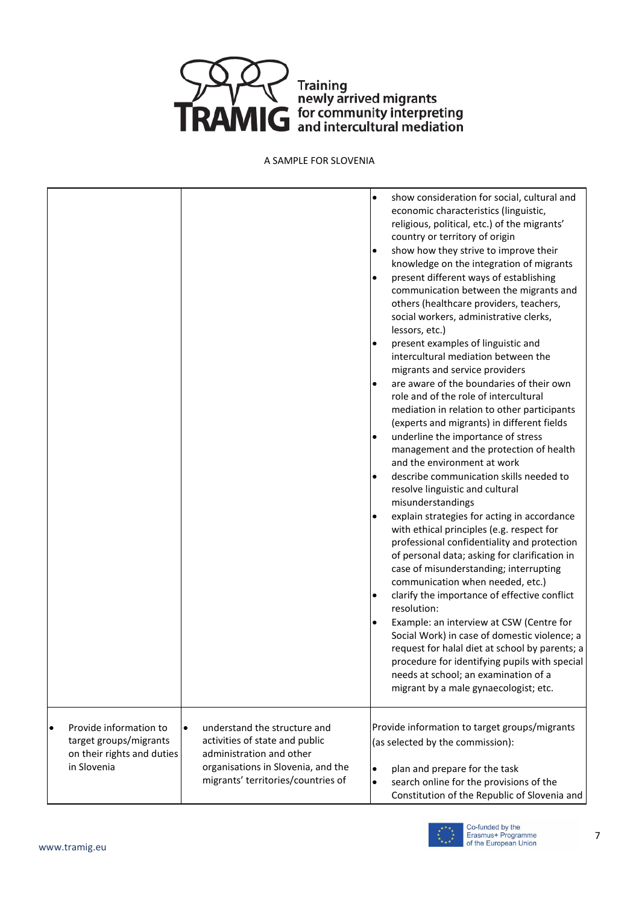

|                                                                                               |                                                                                                                                                                                     | show consideration for social, cultural and<br>$\bullet$<br>economic characteristics (linguistic,<br>religious, political, etc.) of the migrants'<br>country or territory of origin<br>show how they strive to improve their<br>$\bullet$<br>knowledge on the integration of migrants<br>present different ways of establishing<br>$\bullet$<br>communication between the migrants and<br>others (healthcare providers, teachers,<br>social workers, administrative clerks,<br>lessors, etc.)<br>present examples of linguistic and<br>intercultural mediation between the<br>migrants and service providers<br>are aware of the boundaries of their own<br>$\bullet$<br>role and of the role of intercultural<br>mediation in relation to other participants<br>(experts and migrants) in different fields<br>underline the importance of stress<br>$\bullet$<br>management and the protection of health<br>and the environment at work<br>describe communication skills needed to<br>$\bullet$<br>resolve linguistic and cultural<br>misunderstandings<br>explain strategies for acting in accordance<br>$\bullet$<br>with ethical principles (e.g. respect for<br>professional confidentiality and protection<br>of personal data; asking for clarification in<br>case of misunderstanding; interrupting<br>communication when needed, etc.)<br>clarify the importance of effective conflict<br>$\bullet$<br>resolution:<br>Example: an interview at CSW (Centre for<br>$\bullet$<br>Social Work) in case of domestic violence; a<br>request for halal diet at school by parents; a<br>procedure for identifying pupils with special<br>needs at school; an examination of a<br>migrant by a male gynaecologist; etc. |
|-----------------------------------------------------------------------------------------------|-------------------------------------------------------------------------------------------------------------------------------------------------------------------------------------|--------------------------------------------------------------------------------------------------------------------------------------------------------------------------------------------------------------------------------------------------------------------------------------------------------------------------------------------------------------------------------------------------------------------------------------------------------------------------------------------------------------------------------------------------------------------------------------------------------------------------------------------------------------------------------------------------------------------------------------------------------------------------------------------------------------------------------------------------------------------------------------------------------------------------------------------------------------------------------------------------------------------------------------------------------------------------------------------------------------------------------------------------------------------------------------------------------------------------------------------------------------------------------------------------------------------------------------------------------------------------------------------------------------------------------------------------------------------------------------------------------------------------------------------------------------------------------------------------------------------------------------------------------------------------------------------------------------------------|
| Provide information to<br>target groups/migrants<br>on their rights and duties<br>in Slovenia | understand the structure and<br>$\bullet$<br>activities of state and public<br>administration and other<br>organisations in Slovenia, and the<br>migrants' territories/countries of | Provide information to target groups/migrants<br>(as selected by the commission):<br>plan and prepare for the task<br>$\bullet$<br>search online for the provisions of the<br>$\bullet$<br>Constitution of the Republic of Slovenia and                                                                                                                                                                                                                                                                                                                                                                                                                                                                                                                                                                                                                                                                                                                                                                                                                                                                                                                                                                                                                                                                                                                                                                                                                                                                                                                                                                                                                                                                                  |

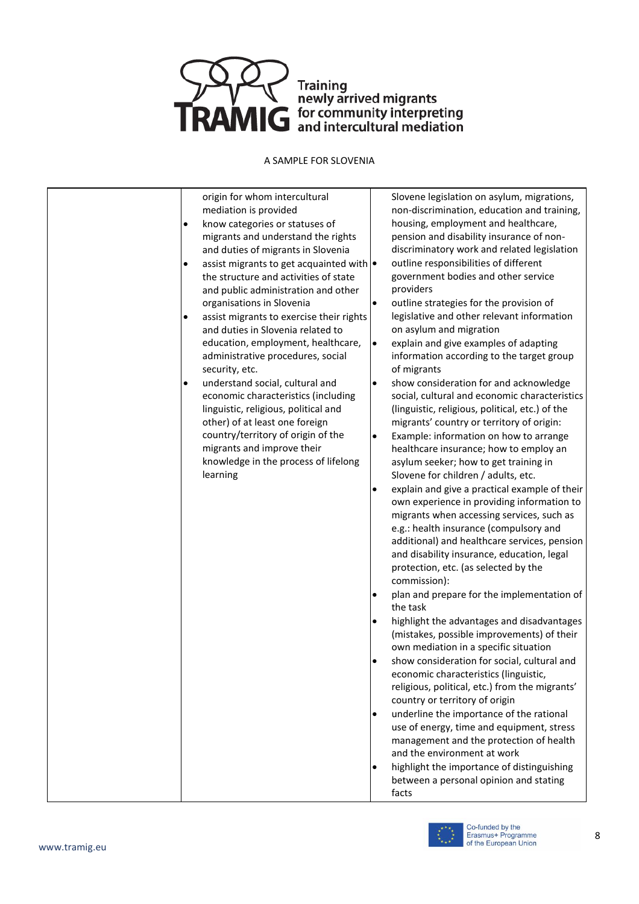

origin for whom intercultural mediation is provided

- know categories or statuses of migrants and understand the rights and duties of migrants in Slovenia
- assist migrants to get acquainted with  $\bullet$ the structure and activities of state and public administration and other organisations in Slovenia
- assist migrants to exercise their rights and duties in Slovenia related to education, employment, healthcare, administrative procedures, social security, etc.
- understand social, cultural and economic characteristics (including linguistic, religious, political and other) of at least one foreign country/territory of origin of the migrants and improve their knowledge in the process of lifelong learning

Slovene legislation on asylum, migrations, non-discrimination, education and training, housing, employment and healthcare, pension and disability insurance of nondiscriminatory work and related legislation outline responsibilities of different government bodies and other service providers

- outline strategies for the provision of legislative and other relevant information on asylum and migration
- explain and give examples of adapting information according to the target group of migrants
- show consideration for and acknowledge social, cultural and economic characteristics (linguistic, religious, political, etc.) of the migrants' country or territory of origin:
- Example: information on how to arrange healthcare insurance; how to employ an asylum seeker; how to get training in Slovene for children / adults, etc.
- explain and give a practical example of their own experience in providing information to migrants when accessing services, such as e.g.: health insurance (compulsory and additional) and healthcare services, pension and disability insurance, education, legal protection, etc. (as selected by the commission):
- plan and prepare for the implementation of the task
- highlight the advantages and disadvantages (mistakes, possible improvements) of their own mediation in a specific situation
- show consideration for social, cultural and economic characteristics (linguistic, religious, political, etc.) from the migrants' country or territory of origin
- underline the importance of the rational use of energy, time and equipment, stress management and the protection of health and the environment at work
- highlight the importance of distinguishing between a personal opinion and stating facts

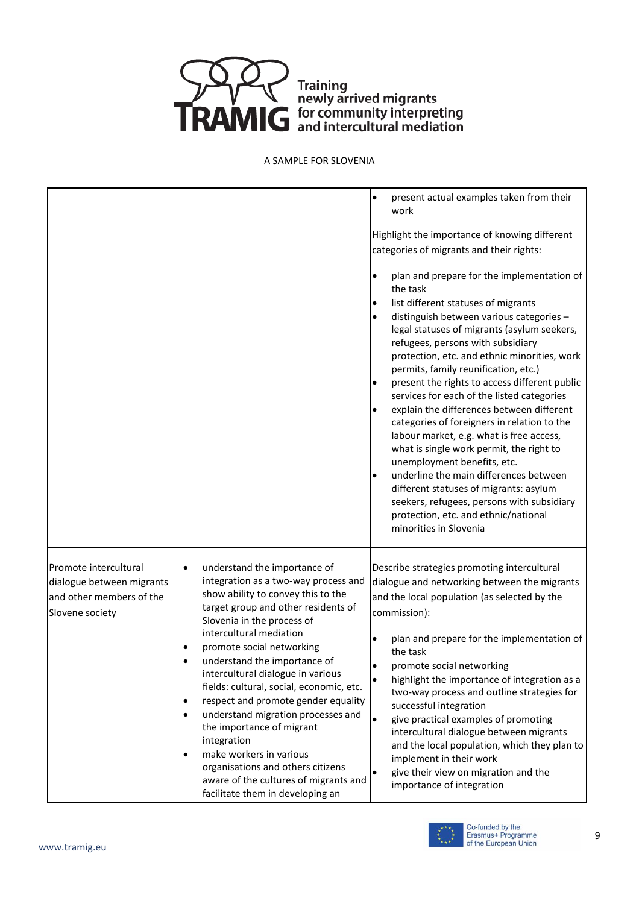

|                                                                                                   |                                                                                                                                                                                                                                                                                                                                                                                                                                                                                                                                                                                                                                                                            | present actual examples taken from their<br>$\bullet$<br>work<br>Highlight the importance of knowing different<br>categories of migrants and their rights:<br>plan and prepare for the implementation of<br>the task<br>list different statuses of migrants<br>distinguish between various categories -<br>٠<br>legal statuses of migrants (asylum seekers,<br>refugees, persons with subsidiary<br>protection, etc. and ethnic minorities, work<br>permits, family reunification, etc.)<br>present the rights to access different public<br>$\bullet$<br>services for each of the listed categories<br>explain the differences between different<br>$\bullet$<br>categories of foreigners in relation to the<br>labour market, e.g. what is free access,<br>what is single work permit, the right to<br>unemployment benefits, etc.<br>underline the main differences between<br>$\bullet$<br>different statuses of migrants: asylum<br>seekers, refugees, persons with subsidiary<br>protection, etc. and ethnic/national<br>minorities in Slovenia |
|---------------------------------------------------------------------------------------------------|----------------------------------------------------------------------------------------------------------------------------------------------------------------------------------------------------------------------------------------------------------------------------------------------------------------------------------------------------------------------------------------------------------------------------------------------------------------------------------------------------------------------------------------------------------------------------------------------------------------------------------------------------------------------------|-------------------------------------------------------------------------------------------------------------------------------------------------------------------------------------------------------------------------------------------------------------------------------------------------------------------------------------------------------------------------------------------------------------------------------------------------------------------------------------------------------------------------------------------------------------------------------------------------------------------------------------------------------------------------------------------------------------------------------------------------------------------------------------------------------------------------------------------------------------------------------------------------------------------------------------------------------------------------------------------------------------------------------------------------------|
| Promote intercultural<br>dialogue between migrants<br>and other members of the<br>Slovene society | understand the importance of<br>$\bullet$<br>integration as a two-way process and<br>show ability to convey this to the<br>target group and other residents of<br>Slovenia in the process of<br>intercultural mediation<br>promote social networking<br>understand the importance of<br>intercultural dialogue in various<br>fields: cultural, social, economic, etc.<br>respect and promote gender equality<br>$\bullet$<br>understand migration processes and<br>$\bullet$<br>the importance of migrant<br>integration<br>make workers in various<br>٠<br>organisations and others citizens<br>aware of the cultures of migrants and<br>facilitate them in developing an | Describe strategies promoting intercultural<br>dialogue and networking between the migrants<br>and the local population (as selected by the<br>commission):<br>plan and prepare for the implementation of<br>the task<br>promote social networking<br>highlight the importance of integration as a<br>$\bullet$<br>two-way process and outline strategies for<br>successful integration<br>$\bullet$<br>give practical examples of promoting<br>intercultural dialogue between migrants<br>and the local population, which they plan to<br>implement in their work<br>give their view on migration and the<br>importance of integration                                                                                                                                                                                                                                                                                                                                                                                                               |

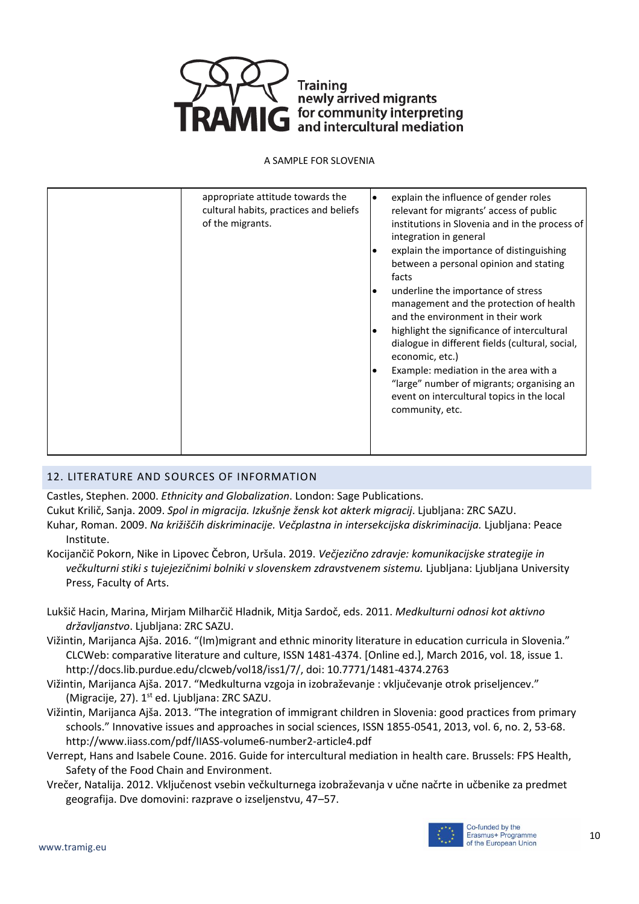

# 12. LITERATURE AND SOURCES OF INFORMATION

Castles, Stephen. 2000. *Ethnicity and Globalization*. London: Sage Publications.

Cukut Krilič, Sanja. 2009. *Spol in migracija. Izkušnje žensk kot akterk migracij*. Ljubljana: ZRC SAZU. Kuhar, Roman. 2009. *Na križiščih diskriminacije. Večplastna in intersekcijska diskriminacija.* Ljubljana: Peace Institute.

Kocijančič Pokorn, Nike in Lipovec Čebron, Uršula. 2019. *Večjezično zdravje: komunikacijske strategije in večkulturni stiki s tujejezičnimi bolniki v slovenskem zdravstvenem sistemu.* Ljubljana: Ljubljana University Press, Faculty of Arts.

Lukšič Hacin, Marina, Mirjam Milharčič Hladnik, Mitja Sardoč, eds. 2011. *Medkulturni odnosi kot aktivno državljanstvo*. Ljubljana: ZRC SAZU.

Vižintin, Marijanca Ajša. 2016. "(Im)migrant and ethnic minority literature in education curricula in Slovenia." CLCWeb: comparative literature and culture, ISSN 1481-4374. [Online ed.], March 2016, vol. 18, issue 1. http://docs.lib.purdue.edu/clcweb/vol18/iss1/7/, doi: 10.7771/1481-4374.2763

Vižintin, Marijanca Ajša. 2017. "Medkulturna vzgoja in izobraževanje : vključevanje otrok priseljencev." (Migracije, 27). 1<sup>st</sup> ed. Ljubljana: ZRC SAZU.

Vižintin, Marijanca Ajša. 2013. "The integration of immigrant children in Slovenia: good practices from primary schools." Innovative issues and approaches in social sciences, ISSN 1855-0541, 2013, vol. 6, no. 2, 53-68. http://www.iiass.com/pdf/IIASS-volume6-number2-article4.pdf

Verrept, Hans and Isabele Coune. 2016. Guide for intercultural mediation in health care. Brussels: FPS Health, Safety of the Food Chain and Environment.

Vrečer, Natalija. 2012. Vključenost vsebin večkulturnega izobraževanja v učne načrte in učbenike za predmet geografija. Dve domovini: razprave o izseljenstvu, 47–57.